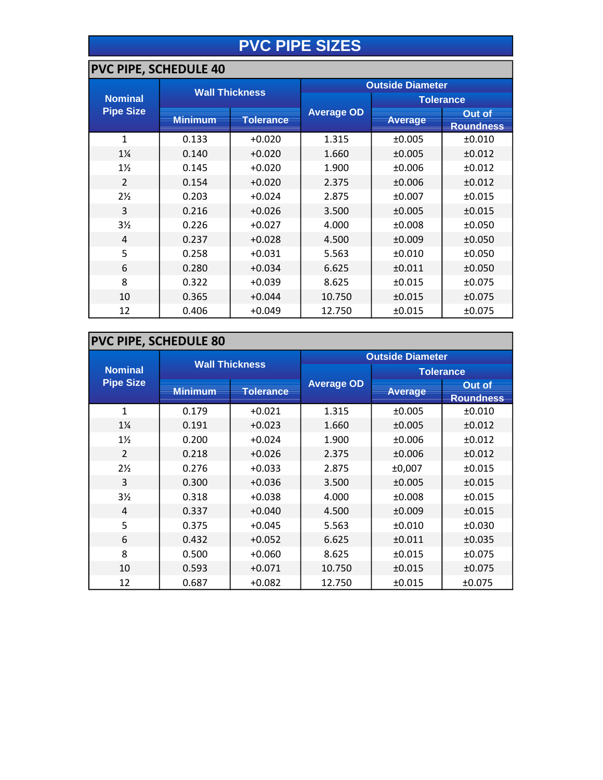## **PVC PIPE SIZES**

#### **PVC PIPE, SCHEDULE 40**

|                  |                |                       | <b>Outside Diameter</b> |                |                            |  |
|------------------|----------------|-----------------------|-------------------------|----------------|----------------------------|--|
| <b>Nominal</b>   |                | <b>Wall Thickness</b> |                         |                | <b>Tolerance</b>           |  |
| <b>Pipe Size</b> | <b>Minimum</b> | <b>Tolerance</b>      | <b>Average OD</b>       | <b>Average</b> | Out of<br><b>Roundness</b> |  |
| $\mathbf{1}$     | 0.133          | $+0.020$              | 1.315                   | ±0.005         | ±0.010                     |  |
| $1\frac{1}{4}$   | 0.140          | $+0.020$              | 1.660                   | ±0.005         | ±0.012                     |  |
| $1\frac{1}{2}$   | 0.145          | $+0.020$              | 1.900                   | ±0.006         | ±0.012                     |  |
| $\overline{2}$   | 0.154          | $+0.020$              | 2.375                   | ±0.006         | ±0.012                     |  |
| $2\frac{1}{2}$   | 0.203          | $+0.024$              | 2.875                   | ±0.007         | ±0.015                     |  |
| 3                | 0.216          | $+0.026$              | 3.500                   | ±0.005         | ±0.015                     |  |
| $3\frac{1}{2}$   | 0.226          | $+0.027$              | 4.000                   | ±0.008         | ±0.050                     |  |
| $\overline{4}$   | 0.237          | $+0.028$              | 4.500                   | ±0.009         | ±0.050                     |  |
| 5                | 0.258          | $+0.031$              | 5.563                   | ±0.010         | ±0.050                     |  |
| 6                | 0.280          | $+0.034$              | 6.625                   | ±0.011         | ±0.050                     |  |
| 8                | 0.322          | $+0.039$              | 8.625                   | ±0.015         | ±0.075                     |  |
| 10               | 0.365          | $+0.044$              | 10.750                  | ±0.015         | ±0.075                     |  |
| 12               | 0.406          | $+0.049$              | 12.750                  | ±0.015         | ±0.075                     |  |

## **PVC PIPE, SCHEDULE 80**

|                  | <b>Wall Thickness</b> |                  | <b>Outside Diameter</b> |                |                            |  |
|------------------|-----------------------|------------------|-------------------------|----------------|----------------------------|--|
| <b>Nominal</b>   |                       |                  |                         |                | <b>Tolerance</b>           |  |
| <b>Pipe Size</b> | <b>Minimum</b>        | <b>Tolerance</b> | <b>Average OD</b>       | <b>Average</b> | Out of<br><b>Roundness</b> |  |
| $\mathbf{1}$     | 0.179                 | $+0.021$         | 1.315                   | ±0.005         | ±0.010                     |  |
| $1\frac{1}{4}$   | 0.191                 | $+0.023$         | 1.660                   | ±0.005         | ±0.012                     |  |
| $1\frac{1}{2}$   | 0.200                 | $+0.024$         | 1.900                   | ±0.006         | ±0.012                     |  |
| $\overline{2}$   | 0.218                 | $+0.026$         | 2.375                   | ±0.006         | ±0.012                     |  |
| $2\frac{1}{2}$   | 0.276                 | $+0.033$         | 2.875                   | ±0,007         | ±0.015                     |  |
| 3                | 0.300                 | $+0.036$         | 3.500                   | ±0.005         | ±0.015                     |  |
| $3\frac{1}{2}$   | 0.318                 | $+0.038$         | 4.000                   | ±0.008         | ±0.015                     |  |
| 4                | 0.337                 | $+0.040$         | 4.500                   | ±0.009         | ±0.015                     |  |
| 5                | 0.375                 | $+0.045$         | 5.563                   | ±0.010         | ±0.030                     |  |
| 6                | 0.432                 | $+0.052$         | 6.625                   | ±0.011         | ±0.035                     |  |
| 8                | 0.500                 | $+0.060$         | 8.625                   | ±0.015         | ±0.075                     |  |
| 10               | 0.593                 | $+0.071$         | 10.750                  | ±0.015         | ±0.075                     |  |
| 12               | 0.687                 | $+0.082$         | 12.750                  | ±0.015         | ±0.075                     |  |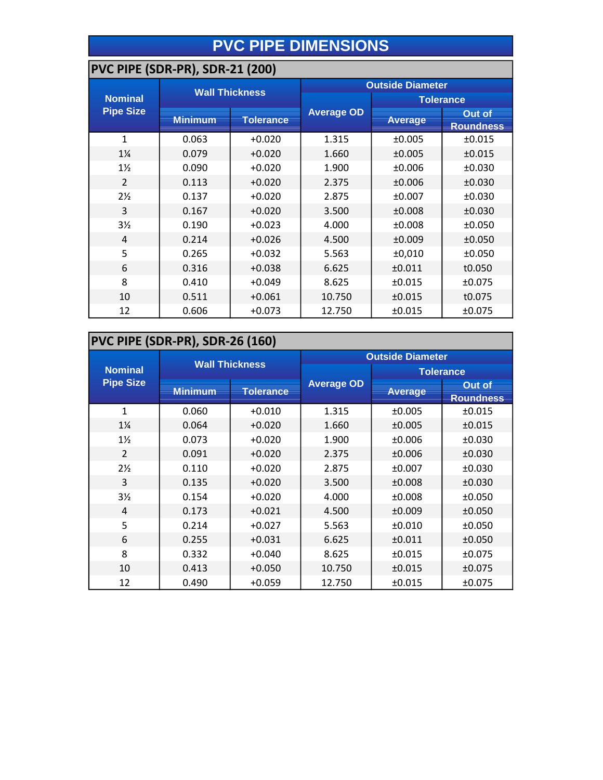# **PVC PIPE DIMENSIONS**

#### **PVC PIPE (SDR-PR), SDR-21 (200)**

|                  |                | <b>Wall Thickness</b> | <b>Outside Diameter</b> |                |                                   |  |  |
|------------------|----------------|-----------------------|-------------------------|----------------|-----------------------------------|--|--|
| <b>Nominal</b>   |                |                       |                         |                | <b>Tolerance</b>                  |  |  |
| <b>Pipe Size</b> | <b>Minimum</b> | <b>Tolerance</b>      | <b>Average OD</b>       | <b>Average</b> | <b>Out of</b><br><b>Roundness</b> |  |  |
| $\mathbf{1}$     | 0.063          | $+0.020$              | 1.315                   | ±0.005         | ±0.015                            |  |  |
| $1\frac{1}{4}$   | 0.079          | $+0.020$              | 1.660                   | ±0.005         | ±0.015                            |  |  |
| $1\frac{1}{2}$   | 0.090          | $+0.020$              | 1.900                   | ±0.006         | ±0.030                            |  |  |
| $\overline{2}$   | 0.113          | $+0.020$              | 2.375                   | ±0.006         | ±0.030                            |  |  |
| $2\frac{1}{2}$   | 0.137          | $+0.020$              | 2.875                   | ±0.007         | ±0.030                            |  |  |
| 3                | 0.167          | $+0.020$              | 3.500                   | ±0.008         | ±0.030                            |  |  |
| 3 <sub>2</sub>   | 0.190          | $+0.023$              | 4.000                   | ±0.008         | ±0.050                            |  |  |
| 4                | 0.214          | $+0.026$              | 4.500                   | ±0.009         | ±0.050                            |  |  |
| 5                | 0.265          | $+0.032$              | 5.563                   | ±0,010         | ±0.050                            |  |  |
| 6                | 0.316          | $+0.038$              | 6.625                   | ±0.011         | t0.050                            |  |  |
| 8                | 0.410          | $+0.049$              | 8.625                   | ±0.015         | ±0.075                            |  |  |
| 10               | 0.511          | $+0.061$              | 10.750                  | ±0.015         | t0.075                            |  |  |
| 12               | 0.606          | $+0.073$              | 12.750                  | ±0.015         | ±0.075                            |  |  |

## **PVC PIPE (SDR-PR), SDR-26 (160)**

|                  | <b>Wall Thickness</b> |                  | <b>Outside Diameter</b> |                  |                                   |
|------------------|-----------------------|------------------|-------------------------|------------------|-----------------------------------|
| <b>Nominal</b>   |                       |                  |                         | <b>Tolerance</b> |                                   |
| <b>Pipe Size</b> | <b>Minimum</b>        | <b>Tolerance</b> | <b>Average OD</b>       | <b>Average</b>   | <b>Out of</b><br><b>Roundness</b> |
| $\mathbf{1}$     | 0.060                 | $+0.010$         | 1.315                   | ±0.005           | ±0.015                            |
| $1\frac{1}{4}$   | 0.064                 | $+0.020$         | 1.660                   | ±0.005           | ±0.015                            |
| $1\frac{1}{2}$   | 0.073                 | $+0.020$         | 1.900                   | ±0.006           | ±0.030                            |
| $\overline{2}$   | 0.091                 | $+0.020$         | 2.375                   | ±0.006           | ±0.030                            |
| $2\frac{1}{2}$   | 0.110                 | $+0.020$         | 2.875                   | ±0.007           | ±0.030                            |
| 3                | 0.135                 | $+0.020$         | 3.500                   | ±0.008           | ±0.030                            |
| $3\frac{1}{2}$   | 0.154                 | $+0.020$         | 4.000                   | ±0.008           | ±0.050                            |
| $\overline{4}$   | 0.173                 | $+0.021$         | 4.500                   | ±0.009           | ±0.050                            |
| 5                | 0.214                 | $+0.027$         | 5.563                   | ±0.010           | ±0.050                            |
| 6                | 0.255                 | $+0.031$         | 6.625                   | ±0.011           | ±0.050                            |
| 8                | 0.332                 | $+0.040$         | 8.625                   | ±0.015           | ±0.075                            |
| 10               | 0.413                 | $+0.050$         | 10.750                  | ±0.015           | ±0.075                            |
| 12               | 0.490                 | $+0.059$         | 12.750                  | ±0.015           | ±0.075                            |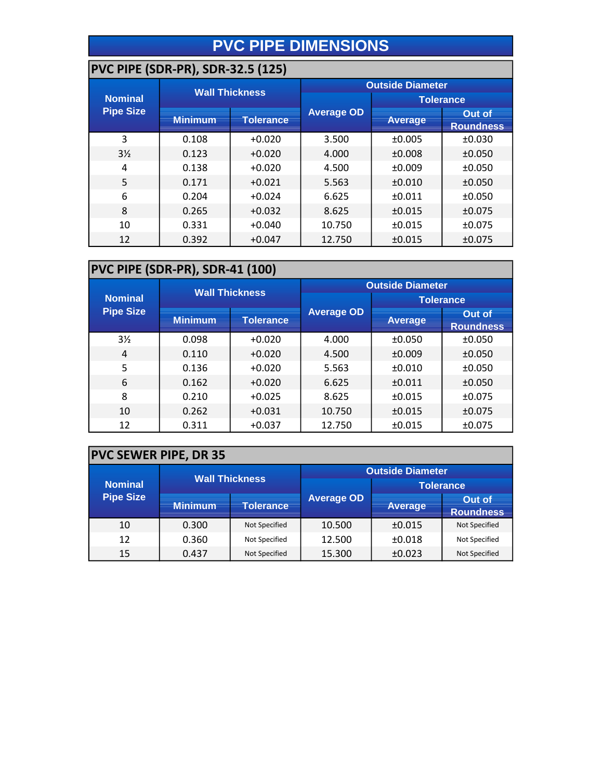# **PVC PIPE DIMENSIONS**

## **PVC PIPE (SDR-PR), SDR-32.5 (125)**

|                  | - - , ,               |                  |                         |                |                            |  |  |
|------------------|-----------------------|------------------|-------------------------|----------------|----------------------------|--|--|
|                  | <b>Wall Thickness</b> |                  | <b>Outside Diameter</b> |                |                            |  |  |
| <b>Nominal</b>   |                       |                  |                         |                | <b>Tolerance</b>           |  |  |
| <b>Pipe Size</b> | <b>Minimum</b>        | <b>Tolerance</b> | <b>Average OD</b>       | <b>Average</b> | Out of<br><b>Roundness</b> |  |  |
| 3                | 0.108                 | $+0.020$         | 3.500                   | ±0.005         | ±0.030                     |  |  |
| $3\frac{1}{2}$   | 0.123                 | $+0.020$         | 4.000                   | ±0.008         | ±0.050                     |  |  |
| 4                | 0.138                 | $+0.020$         | 4.500                   | ±0.009         | ±0.050                     |  |  |
| 5                | 0.171                 | $+0.021$         | 5.563                   | ±0.010         | ±0.050                     |  |  |
| 6                | 0.204                 | $+0.024$         | 6.625                   | ±0.011         | ±0.050                     |  |  |
| 8                | 0.265                 | $+0.032$         | 8.625                   | ±0.015         | ±0.075                     |  |  |
| 10               | 0.331                 | $+0.040$         | 10.750                  | ±0.015         | ±0.075                     |  |  |
| 12               | 0.392                 | $+0.047$         | 12.750                  | ±0.015         | ±0.075                     |  |  |

#### **PVC PIPE (SDR-PR), SDR-41 (100)**

|                                    | <b>Wall Thickness</b> |                  | <b>Outside Diameter</b> |                  |                            |
|------------------------------------|-----------------------|------------------|-------------------------|------------------|----------------------------|
| <b>Nominal</b><br><b>Pipe Size</b> |                       |                  |                         | <b>Tolerance</b> |                            |
|                                    | <b>Minimum</b>        | <b>Tolerance</b> | <b>Average OD</b>       | <b>Average</b>   | Out of<br><b>Roundness</b> |
| $3\frac{1}{2}$                     | 0.098                 | $+0.020$         | 4.000                   | ±0.050           | ±0.050                     |
| 4                                  | 0.110                 | $+0.020$         | 4.500                   | ±0.009           | ±0.050                     |
| 5                                  | 0.136                 | $+0.020$         | 5.563                   | ±0.010           | ±0.050                     |
| 6                                  | 0.162                 | $+0.020$         | 6.625                   | ±0.011           | ±0.050                     |
| 8                                  | 0.210                 | $+0.025$         | 8.625                   | ±0.015           | ±0.075                     |
| 10                                 | 0.262                 | $+0.031$         | 10.750                  | ±0.015           | ±0.075                     |
| 12                                 | 0.311                 | $+0.037$         | 12.750                  | ±0.015           | ±0.075                     |

## **PVC SEWER PIPE, DR 35**

| <b>Nominal</b><br><b>Pipe Size</b> | <b>Wall Thickness</b> |               | <b>Outside Diameter</b> |                  |                            |
|------------------------------------|-----------------------|---------------|-------------------------|------------------|----------------------------|
|                                    |                       |               |                         | <b>Tolerance</b> |                            |
|                                    | <b>Minimum</b>        | Tolerance     | <b>Average OD</b>       | <b>Average</b>   | Out of<br><b>Roundness</b> |
| 10                                 | 0.300                 | Not Specified | 10.500                  | ±0.015           | Not Specified              |
| 12                                 | 0.360                 | Not Specified | 12.500                  | ±0.018           | Not Specified              |
| 15                                 | 0.437                 | Not Specified | 15.300                  | ±0.023           | Not Specified              |